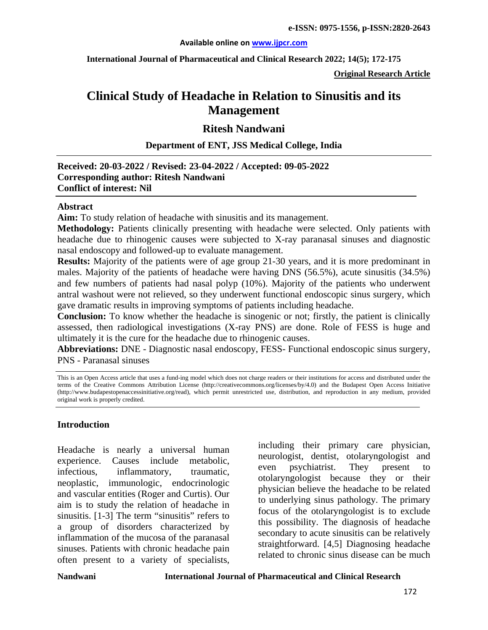### **Available online on [www.ijpcr.com](http://www.ijpcr.com/)**

**International Journal of Pharmaceutical and Clinical Research 2022; 14(5); 172-175**

**Original Research Article**

# **Clinical Study of Headache in Relation to Sinusitis and its Management**

## **Ritesh Nandwani**

### **Department of ENT, JSS Medical College, India**

## **Received: 20-03-2022 / Revised: 23-04-2022 / Accepted: 09-05-2022 Corresponding author: Ritesh Nandwani Conflict of interest: Nil**

### **Abstract**

**Aim:** To study relation of headache with sinusitis and its management.

**Methodology:** Patients clinically presenting with headache were selected. Only patients with headache due to rhinogenic causes were subjected to X-ray paranasal sinuses and diagnostic nasal endoscopy and followed-up to evaluate management.

**Results:** Majority of the patients were of age group 21-30 years, and it is more predominant in males. Majority of the patients of headache were having DNS (56.5%), acute sinusitis (34.5%) and few numbers of patients had nasal polyp (10%). Majority of the patients who underwent antral washout were not relieved, so they underwent functional endoscopic sinus surgery, which gave dramatic results in improving symptoms of patients including headache.

**Conclusion:** To know whether the headache is sinogenic or not; firstly, the patient is clinically assessed, then radiological investigations (X-ray PNS) are done. Role of FESS is huge and ultimately it is the cure for the headache due to rhinogenic causes.

**Abbreviations:** DNE - Diagnostic nasal endoscopy, FESS- Functional endoscopic sinus surgery, PNS - Paranasal sinuses

### **Introduction**

Headache is nearly a universal human experience. Causes include metabolic, infectious, inflammatory, traumatic, neoplastic, immunologic, endocrinologic and vascular entities (Roger and Curtis). Our aim is to study the relation of headache in sinusitis. [1-3] The term "sinusitis" refers to a group of disorders characterized by inflammation of the mucosa of the paranasal sinuses. Patients with chronic headache pain often present to a variety of specialists,

including their primary care physician, neurologist, dentist, otolaryngologist and even psychiatrist. They present to otolaryngologist because they or their physician believe the headache to be related to underlying sinus pathology. The primary focus of the otolaryngologist is to exclude this possibility. The diagnosis of headache secondary to acute sinusitis can be relatively straightforward. [4,5] Diagnosing headache related to chronic sinus disease can be much

This is an Open Access article that uses a fund-ing model which does not charge readers or their institutions for access and distributed under the terms of the Creative Commons Attribution License (http://creativecommons.org/licenses/by/4.0) and the Budapest Open Access Initiative (http://www.budapestopenaccessinitiative.org/read), which permit unrestricted use, distribution, and reproduction in any medium, provided original work is properly credited.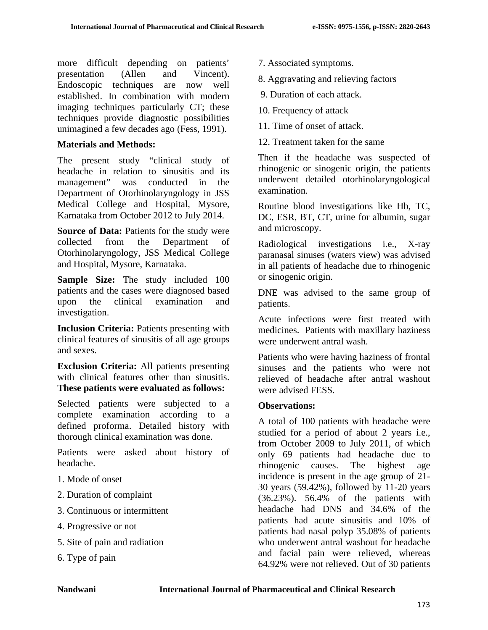more difficult depending on patients' presentation (Allen and Vincent). Endoscopic techniques are now well established. In combination with modern imaging techniques particularly CT; these techniques provide diagnostic possibilities unimagined a few decades ago (Fess, 1991).

## **Materials and Methods:**

The present study "clinical study of headache in relation to sinusitis and its management" was conducted in the Department of Otorhinolaryngology in JSS Medical College and Hospital, Mysore, Karnataka from October 2012 to July 2014.

**Source of Data:** Patients for the study were collected from the Department of Otorhinolaryngology, JSS Medical College and Hospital, Mysore, Karnataka.

**Sample Size:** The study included 100 patients and the cases were diagnosed based upon the clinical examination and investigation.

**Inclusion Criteria:** Patients presenting with clinical features of sinusitis of all age groups and sexes.

**Exclusion Criteria:** All patients presenting with clinical features other than sinusitis. **These patients were evaluated as follows:**

Selected patients were subjected to a complete examination according to a defined proforma. Detailed history with thorough clinical examination was done.

Patients were asked about history of headache.

- 1. Mode of onset
- 2. Duration of complaint
- 3. Continuous or intermittent
- 4. Progressive or not
- 5. Site of pain and radiation
- 6. Type of pain
- 7. Associated symptoms.
- 8. Aggravating and relieving factors
- 9. Duration of each attack.
- 10. Frequency of attack
- 11. Time of onset of attack.
- 12. Treatment taken for the same

Then if the headache was suspected of rhinogenic or sinogenic origin, the patients underwent detailed otorhinolaryngological examination.

Routine blood investigations like Hb, TC, DC, ESR, BT, CT, urine for albumin, sugar and microscopy.

Radiological investigations i.e., X-ray paranasal sinuses (waters view) was advised in all patients of headache due to rhinogenic or sinogenic origin.

DNE was advised to the same group of patients.

Acute infections were first treated with medicines. Patients with maxillary haziness were underwent antral wash.

Patients who were having haziness of frontal sinuses and the patients who were not relieved of headache after antral washout were advised FESS.

## **Observations:**

A total of 100 patients with headache were studied for a period of about 2 years i.e., from October 2009 to July 2011, of which only 69 patients had headache due to rhinogenic causes. The highest age incidence is present in the age group of 21- 30 years (59.42%), followed by 11-20 years (36.23%). 56.4% of the patients with headache had DNS and 34.6% of the patients had acute sinusitis and 10% of patients had nasal polyp 35.08% of patients who underwent antral washout for headache and facial pain were relieved, whereas 64.92% were not relieved. Out of 30 patients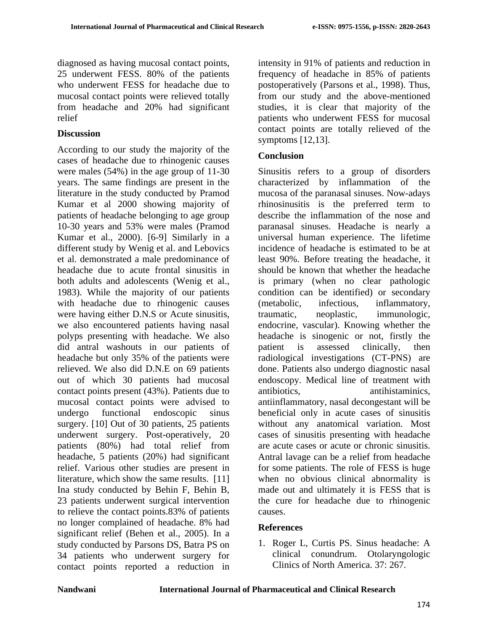diagnosed as having mucosal contact points, 25 underwent FESS. 80% of the patients who underwent FESS for headache due to mucosal contact points were relieved totally from headache and 20% had significant relief

## **Discussion**

According to our study the majority of the cases of headache due to rhinogenic causes were males (54%) in the age group of 11-30 years. The same findings are present in the literature in the study conducted by Pramod Kumar et al 2000 showing majority of patients of headache belonging to age group 10-30 years and 53% were males (Pramod Kumar et al., 2000). [6-9] Similarly in a different study by Wenig et al. and Lebovics et al. demonstrated a male predominance of headache due to acute frontal sinusitis in both adults and adolescents (Wenig et al., 1983). While the majority of our patients with headache due to rhinogenic causes were having either D.N.S or Acute sinusitis, we also encountered patients having nasal polyps presenting with headache. We also did antral washouts in our patients of headache but only 35% of the patients were relieved. We also did D.N.E on 69 patients out of which 30 patients had mucosal contact points present (43%). Patients due to mucosal contact points were advised to undergo functional endoscopic sinus surgery. [10] Out of 30 patients, 25 patients underwent surgery. Post-operatively, 20 patients (80%) had total relief from headache, 5 patients (20%) had significant relief. Various other studies are present in literature, which show the same results. [11] Ina study conducted by Behin F, Behin B, 23 patients underwent surgical intervention to relieve the contact points.83% of patients no longer complained of headache. 8% had significant relief (Behen et al., 2005). In a study conducted by Parsons DS, Batra PS on 34 patients who underwent surgery for contact points reported a reduction in

intensity in 91% of patients and reduction in frequency of headache in 85% of patients postoperatively (Parsons et al., 1998). Thus, from our study and the above-mentioned studies, it is clear that majority of the patients who underwent FESS for mucosal contact points are totally relieved of the symptoms [12,13].

## **Conclusion**

Sinusitis refers to a group of disorders characterized by inflammation of the mucosa of the paranasal sinuses. Now-adays rhinosinusitis is the preferred term to describe the inflammation of the nose and paranasal sinuses. Headache is nearly a universal human experience. The lifetime incidence of headache is estimated to be at least 90%. Before treating the headache, it should be known that whether the headache is primary (when no clear pathologic condition can be identified) or secondary (metabolic, infectious, inflammatory, traumatic, neoplastic, immunologic, endocrine, vascular). Knowing whether the headache is sinogenic or not, firstly the patient is assessed clinically, then radiological investigations (CT-PNS) are done. Patients also undergo diagnostic nasal endoscopy. Medical line of treatment with antibiotics, antihistaminics, antiinflammatory, nasal decongestant will be beneficial only in acute cases of sinusitis without any anatomical variation. Most cases of sinusitis presenting with headache are acute cases or acute or chronic sinusitis. Antral lavage can be a relief from headache for some patients. The role of FESS is huge when no obvious clinical abnormality is made out and ultimately it is FESS that is the cure for headache due to rhinogenic causes.

## **References**

1. Roger L, Curtis PS. Sinus headache: A clinical conundrum. Otolaryngologic Clinics of North America. 37: 267.